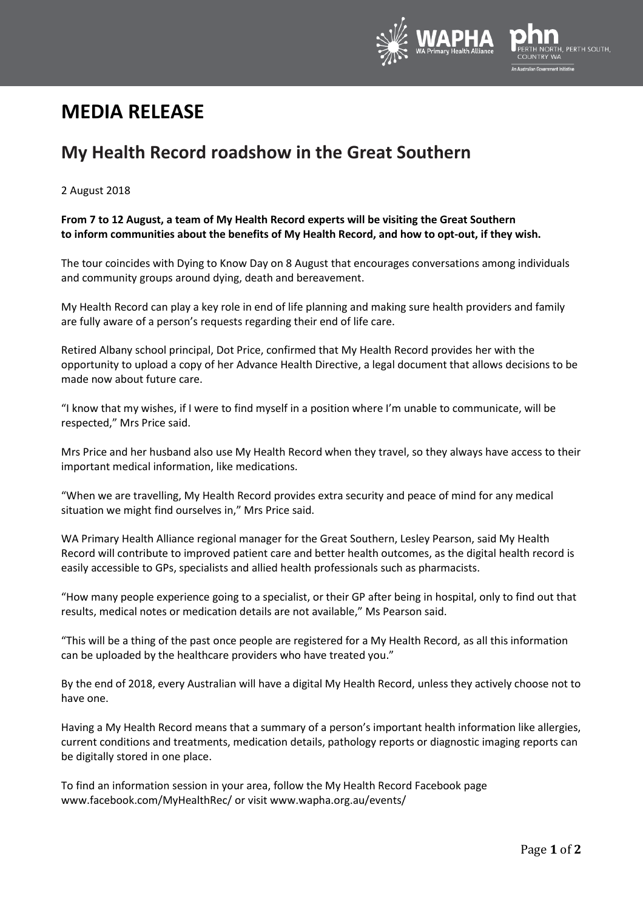

# **MEDIA RELEASE**

# **My Health Record roadshow in the Great Southern**

## 2 August 2018

## **From 7 to 12 August, a team of My Health Record experts will be visiting the Great Southern to inform communities about the benefits of My Health Record, and how to opt-out, if they wish.**

The tour coincides with Dying to Know Day on 8 August that encourages conversations among individuals and community groups around dying, death and bereavement.

My Health Record can play a key role in end of life planning and making sure health providers and family are fully aware of a person's requests regarding their end of life care.

Retired Albany school principal, Dot Price, confirmed that My Health Record provides her with the opportunity to upload a copy of her Advance Health Directive, a legal document that allows decisions to be made now about future care.

"I know that my wishes, if I were to find myself in a position where I'm unable to communicate, will be respected," Mrs Price said.

Mrs Price and her husband also use My Health Record when they travel, so they always have access to their important medical information, like medications.

"When we are travelling, My Health Record provides extra security and peace of mind for any medical situation we might find ourselves in," Mrs Price said.

WA Primary Health Alliance regional manager for the Great Southern, Lesley Pearson, said My Health Record will contribute to improved patient care and better health outcomes, as the digital health record is easily accessible to GPs, specialists and allied health professionals such as pharmacists.

"How many people experience going to a specialist, or their GP after being in hospital, only to find out that results, medical notes or medication details are not available," Ms Pearson said.

"This will be a thing of the past once people are registered for a My Health Record, as all this information can be uploaded by the healthcare providers who have treated you."

By the end of 2018, every Australian will have a digital My Health Record, unless they actively choose not to have one.

Having a My Health Record means that a summary of a person's important health information like allergies, current conditions and treatments, medication details, pathology reports or diagnostic imaging reports can be digitally stored in one place.

To find an information session in your area, follow the My Health Record Facebook page [www.facebook.com/MyHealthRec/](http://www.facebook.com/MyHealthRec/) or visit [www.wapha.org.au/events/](http://www.wapha.org.au/events/)